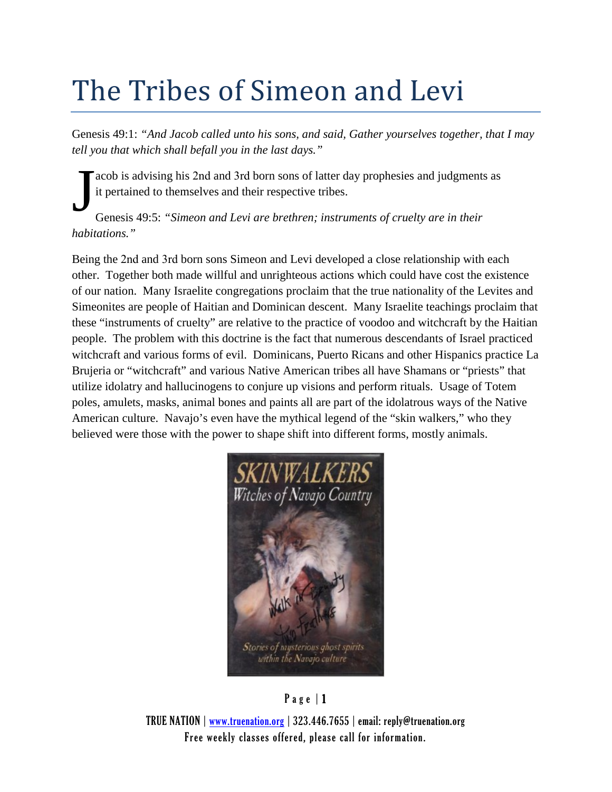# The Tribes of Simeon and Levi

Genesis 49:1: *"And Jacob called unto his sons, and said, Gather yourselves together, that I may tell you that which shall befall you in the last days."*

acob is advising his 2nd and 3rd born sons of latter day prophesies and judgments as it pertained to themselves and their respective tribes.

Genesis 49:5: *"Simeon and Levi are brethren; instruments of cruelty are in their habitations."* J

Being the 2nd and 3rd born sons Simeon and Levi developed a close relationship with each other. Together both made willful and unrighteous actions which could have cost the existence of our nation. Many Israelite congregations proclaim that the true nationality of the Levites and Simeonites are people of Haitian and Dominican descent. Many Israelite teachings proclaim that these "instruments of cruelty" are relative to the practice of voodoo and witchcraft by the Haitian people. The problem with this doctrine is the fact that numerous descendants of Israel practiced witchcraft and various forms of evil. Dominicans, Puerto Ricans and other Hispanics practice La Brujeria or "witchcraft" and various Native American tribes all have Shamans or "priests" that utilize idolatry and hallucinogens to conjure up visions and perform rituals. Usage of Totem poles, amulets, masks, animal bones and paints all are part of the idolatrous ways of the Native American culture. Navajo's even have the mythical legend of the "skin walkers," who they believed were those with the power to shape shift into different forms, mostly animals.



### Page | 1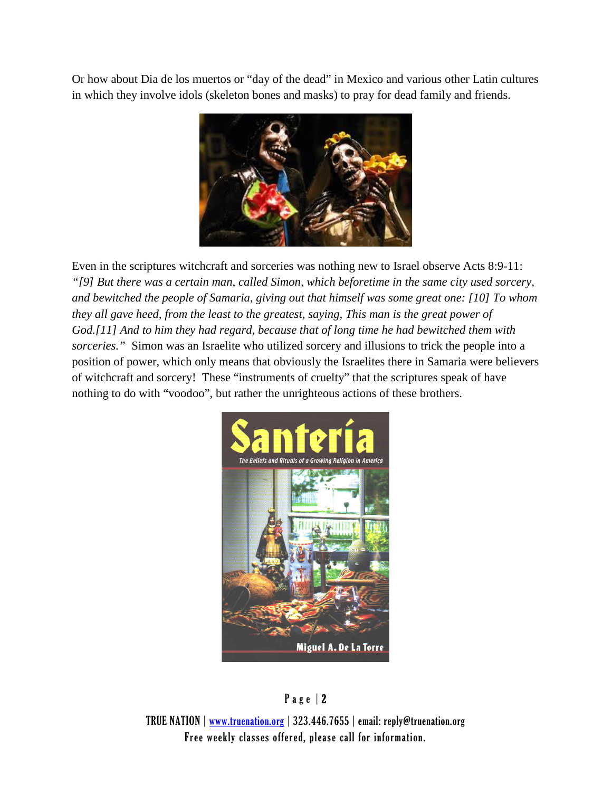Or how about Dia de los muertos or "day of the dead" in Mexico and various other Latin cultures in which they involve idols (skeleton bones and masks) to pray for dead family and friends.



Even in the scriptures witchcraft and sorceries was nothing new to Israel observe Acts 8:9-11: *"[9] But there was a certain man, called Simon, which beforetime in the same city used sorcery, and bewitched the people of Samaria, giving out that himself was some great one: [10] To whom they all gave heed, from the least to the greatest, saying, This man is the great power of God.[11] And to him they had regard, because that of long time he had bewitched them with sorceries."* Simon was an Israelite who utilized sorcery and illusions to trick the people into a position of power, which only means that obviously the Israelites there in Samaria were believers of witchcraft and sorcery! These "instruments of cruelty" that the scriptures speak of have nothing to do with "voodoo", but rather the unrighteous actions of these brothers.



### Page | 2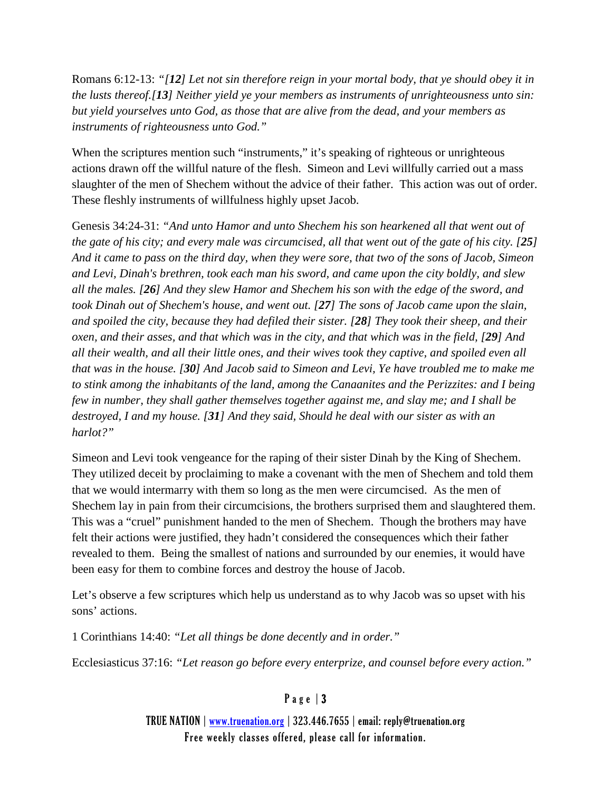Romans 6:12-13: *"[12] Let not sin therefore reign in your mortal body, that ye should obey it in the lusts thereof.[13] Neither yield ye your members as instruments of unrighteousness unto sin: but yield yourselves unto God, as those that are alive from the dead, and your members as instruments of righteousness unto God."*

When the scriptures mention such "instruments," it's speaking of righteous or unrighteous actions drawn off the willful nature of the flesh. Simeon and Levi willfully carried out a mass slaughter of the men of Shechem without the advice of their father. This action was out of order. These fleshly instruments of willfulness highly upset Jacob.

Genesis 34:24-31: *"And unto Hamor and unto Shechem his son hearkened all that went out of the gate of his city; and every male was circumcised, all that went out of the gate of his city. [25] And it came to pass on the third day, when they were sore, that two of the sons of Jacob, Simeon and Levi, Dinah's brethren, took each man his sword, and came upon the city boldly, and slew all the males. [26] And they slew Hamor and Shechem his son with the edge of the sword, and took Dinah out of Shechem's house, and went out. [27] The sons of Jacob came upon the slain, and spoiled the city, because they had defiled their sister. [28] They took their sheep, and their oxen, and their asses, and that which was in the city, and that which was in the field, [29] And all their wealth, and all their little ones, and their wives took they captive, and spoiled even all that was in the house. [30] And Jacob said to Simeon and Levi, Ye have troubled me to make me to stink among the inhabitants of the land, among the Canaanites and the Perizzites: and I being few in number, they shall gather themselves together against me, and slay me; and I shall be destroyed, I and my house. [31] And they said, Should he deal with our sister as with an harlot?"*

Simeon and Levi took vengeance for the raping of their sister Dinah by the King of Shechem. They utilized deceit by proclaiming to make a covenant with the men of Shechem and told them that we would intermarry with them so long as the men were circumcised. As the men of Shechem lay in pain from their circumcisions, the brothers surprised them and slaughtered them. This was a "cruel" punishment handed to the men of Shechem. Though the brothers may have felt their actions were justified, they hadn't considered the consequences which their father revealed to them. Being the smallest of nations and surrounded by our enemies, it would have been easy for them to combine forces and destroy the house of Jacob.

Let's observe a few scriptures which help us understand as to why Jacob was so upset with his sons' actions.

1 Corinthians 14:40: *"Let all things be done decently and in order."*

Ecclesiasticus 37:16: *"Let reason go before every enterprize, and counsel before every action."*

### Page | 3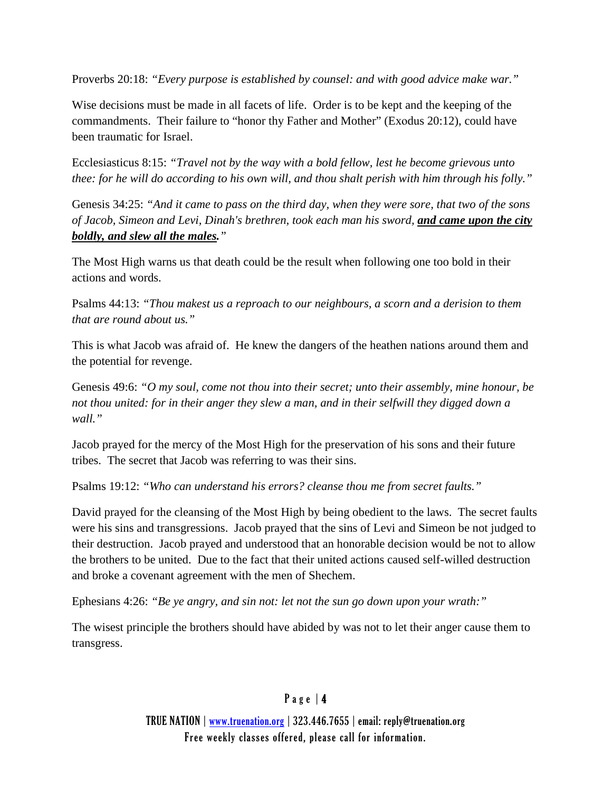Proverbs 20:18: *"Every purpose is established by counsel: and with good advice make war."*

Wise decisions must be made in all facets of life. Order is to be kept and the keeping of the commandments. Their failure to "honor thy Father and Mother" (Exodus 20:12), could have been traumatic for Israel.

Ecclesiasticus 8:15: *"Travel not by the way with a bold fellow, lest he become grievous unto thee: for he will do according to his own will, and thou shalt perish with him through his folly."*

Genesis 34:25: *"And it came to pass on the third day, when they were sore, that two of the sons of Jacob, Simeon and Levi, Dinah's brethren, took each man his sword, and came upon the city boldly, and slew all the males."*

The Most High warns us that death could be the result when following one too bold in their actions and words.

Psalms 44:13: *"Thou makest us a reproach to our neighbours, a scorn and a derision to them that are round about us."*

This is what Jacob was afraid of. He knew the dangers of the heathen nations around them and the potential for revenge.

Genesis 49:6: *"O my soul, come not thou into their secret; unto their assembly, mine honour, be not thou united: for in their anger they slew a man, and in their selfwill they digged down a wall."*

Jacob prayed for the mercy of the Most High for the preservation of his sons and their future tribes. The secret that Jacob was referring to was their sins.

Psalms 19:12: *"Who can understand his errors? cleanse thou me from secret faults."*

David prayed for the cleansing of the Most High by being obedient to the laws. The secret faults were his sins and transgressions. Jacob prayed that the sins of Levi and Simeon be not judged to their destruction. Jacob prayed and understood that an honorable decision would be not to allow the brothers to be united. Due to the fact that their united actions caused self-willed destruction and broke a covenant agreement with the men of Shechem.

Ephesians 4:26: *"Be ye angry, and sin not: let not the sun go down upon your wrath:"*

The wisest principle the brothers should have abided by was not to let their anger cause them to transgress.

### Page | 4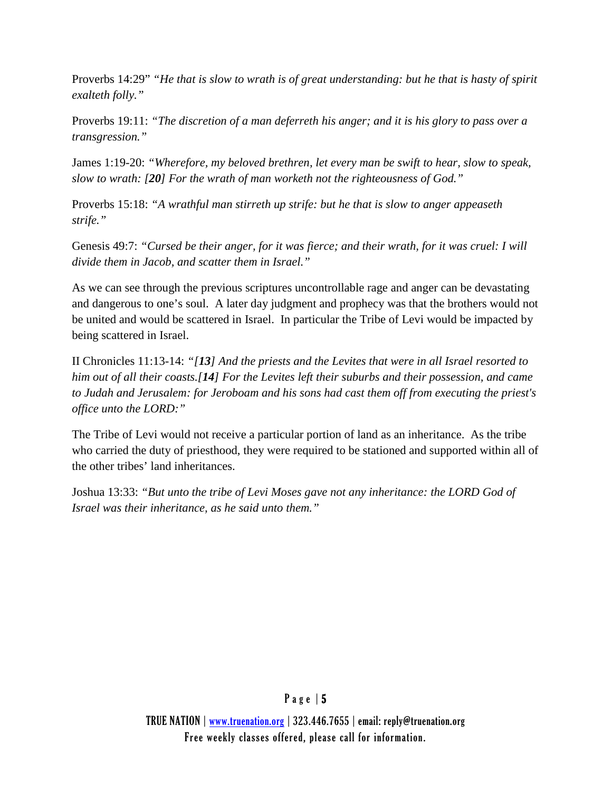Proverbs 14:29" *"He that is slow to wrath is of great understanding: but he that is hasty of spirit exalteth folly."*

Proverbs 19:11: *"The discretion of a man deferreth his anger; and it is his glory to pass over a transgression."*

James 1:19-20: *"Wherefore, my beloved brethren, let every man be swift to hear, slow to speak, slow to wrath: [20] For the wrath of man worketh not the righteousness of God."*

Proverbs 15:18: *"A wrathful man stirreth up strife: but he that is slow to anger appeaseth strife."*

Genesis 49:7: *"Cursed be their anger, for it was fierce; and their wrath, for it was cruel: I will divide them in Jacob, and scatter them in Israel."*

As we can see through the previous scriptures uncontrollable rage and anger can be devastating and dangerous to one's soul. A later day judgment and prophecy was that the brothers would not be united and would be scattered in Israel. In particular the Tribe of Levi would be impacted by being scattered in Israel.

II Chronicles 11:13-14: *"[13] And the priests and the Levites that were in all Israel resorted to him out of all their coasts.[14] For the Levites left their suburbs and their possession, and came to Judah and Jerusalem: for Jeroboam and his sons had cast them off from executing the priest's office unto the LORD:"*

The Tribe of Levi would not receive a particular portion of land as an inheritance. As the tribe who carried the duty of priesthood, they were required to be stationed and supported within all of the other tribes' land inheritances.

Joshua 13:33: *"But unto the tribe of Levi Moses gave not any inheritance: the LORD God of Israel was their inheritance, as he said unto them."*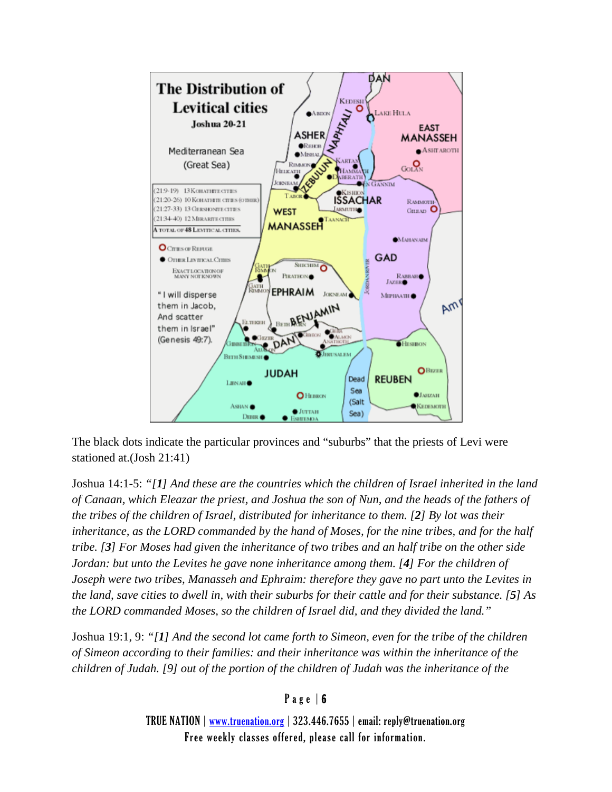

The black dots indicate the particular provinces and "suburbs" that the priests of Levi were stationed at.(Josh 21:41)

Joshua 14:1-5: *"[1] And these are the countries which the children of Israel inherited in the land of Canaan, which Eleazar the priest, and Joshua the son of Nun, and the heads of the fathers of the tribes of the children of Israel, distributed for inheritance to them. [2] By lot was their inheritance, as the LORD commanded by the hand of Moses, for the nine tribes, and for the half tribe. [3] For Moses had given the inheritance of two tribes and an half tribe on the other side Jordan: but unto the Levites he gave none inheritance among them. [4] For the children of Joseph were two tribes, Manasseh and Ephraim: therefore they gave no part unto the Levites in the land, save cities to dwell in, with their suburbs for their cattle and for their substance. [5] As the LORD commanded Moses, so the children of Israel did, and they divided the land."*

Joshua 19:1, 9: *"[1] And the second lot came forth to Simeon, even for the tribe of the children of Simeon according to their families: and their inheritance was within the inheritance of the children of Judah. [9] out of the portion of the children of Judah was the inheritance of the* 

#### Page | 6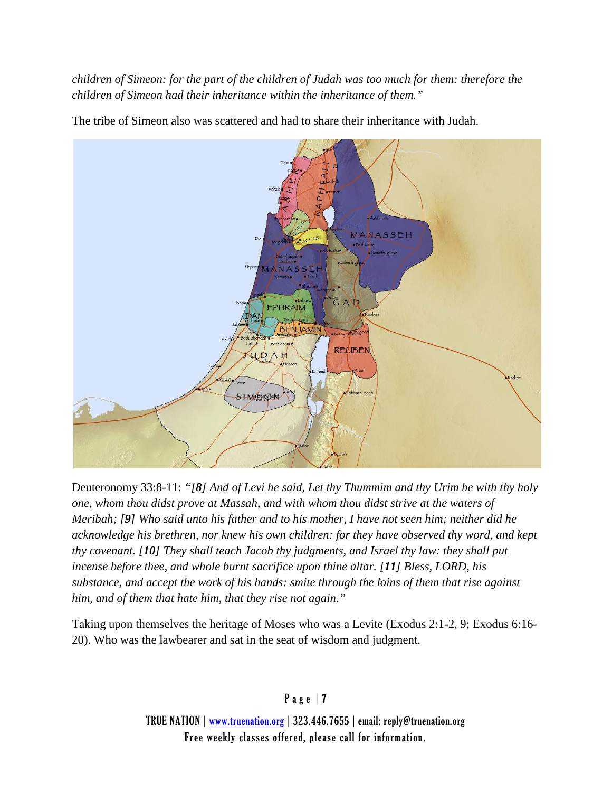*children of Simeon: for the part of the children of Judah was too much for them: therefore the children of Simeon had their inheritance within the inheritance of them."*



The tribe of Simeon also was scattered and had to share their inheritance with Judah.

Deuteronomy 33:8-11: *"[8] And of Levi he said, Let thy Thummim and thy Urim be with thy holy one, whom thou didst prove at Massah, and with whom thou didst strive at the waters of Meribah; [9] Who said unto his father and to his mother, I have not seen him; neither did he acknowledge his brethren, nor knew his own children: for they have observed thy word, and kept thy covenant. [10] They shall teach Jacob thy judgments, and Israel thy law: they shall put incense before thee, and whole burnt sacrifice upon thine altar. [11] Bless, LORD, his substance, and accept the work of his hands: smite through the loins of them that rise against him, and of them that hate him, that they rise not again."*

Taking upon themselves the heritage of Moses who was a Levite (Exodus 2:1-2, 9; Exodus 6:16- 20). Who was the lawbearer and sat in the seat of wisdom and judgment.

Page | 7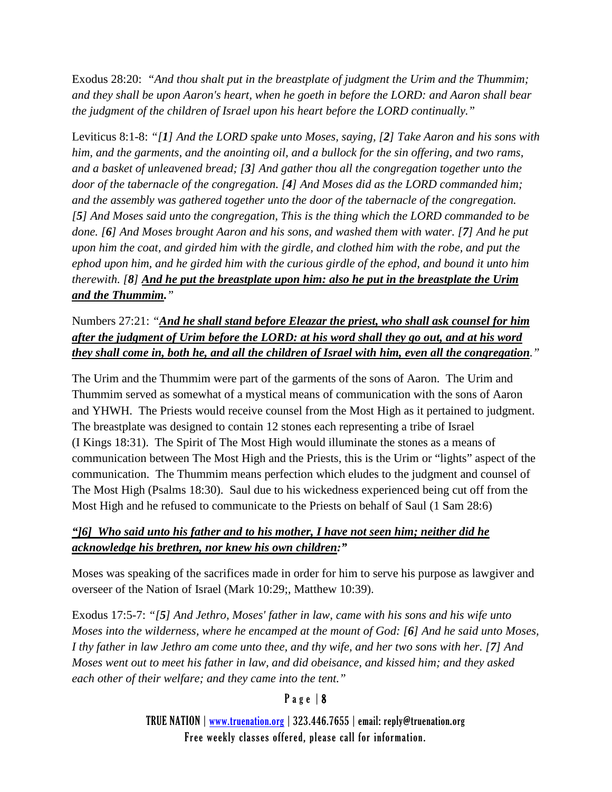Exodus 28:20: *"And thou shalt put in the breastplate of judgment the Urim and the Thummim; and they shall be upon Aaron's heart, when he goeth in before the LORD: and Aaron shall bear the judgment of the children of Israel upon his heart before the LORD continually."*

Leviticus 8:1-8: *"[1] And the LORD spake unto Moses, saying, [2] Take Aaron and his sons with him, and the garments, and the anointing oil, and a bullock for the sin offering, and two rams, and a basket of unleavened bread; [3] And gather thou all the congregation together unto the door of the tabernacle of the congregation. [4] And Moses did as the LORD commanded him; and the assembly was gathered together unto the door of the tabernacle of the congregation. [5] And Moses said unto the congregation, This is the thing which the LORD commanded to be done. [6] And Moses brought Aaron and his sons, and washed them with water. [7] And he put upon him the coat, and girded him with the girdle, and clothed him with the robe, and put the ephod upon him, and he girded him with the curious girdle of the ephod, and bound it unto him therewith. [8] And he put the breastplate upon him: also he put in the breastplate the Urim and the Thummim."*

Numbers 27:21: *"And he shall stand before Eleazar the priest, who shall ask counsel for him after the judgment of Urim before the LORD: at his word shall they go out, and at his word they shall come in, both he, and all the children of Israel with him, even all the congregation."*

The Urim and the Thummim were part of the garments of the sons of Aaron. The Urim and Thummim served as somewhat of a mystical means of communication with the sons of Aaron and YHWH. The Priests would receive counsel from the Most High as it pertained to judgment. The breastplate was designed to contain 12 stones each representing a tribe of Israel (I Kings 18:31). The Spirit of The Most High would illuminate the stones as a means of communication between The Most High and the Priests, this is the Urim or "lights" aspect of the communication. The Thummim means perfection which eludes to the judgment and counsel of The Most High (Psalms 18:30). Saul due to his wickedness experienced being cut off from the Most High and he refused to communicate to the Priests on behalf of Saul (1 Sam 28:6)

### *"]6] Who said unto his father and to his mother, I have not seen him; neither did he acknowledge his brethren, nor knew his own children:"*

Moses was speaking of the sacrifices made in order for him to serve his purpose as lawgiver and overseer of the Nation of Israel (Mark 10:29;, Matthew 10:39).

Exodus 17:5-7: *"[5] And Jethro, Moses' father in law, came with his sons and his wife unto Moses into the wilderness, where he encamped at the mount of God: [6] And he said unto Moses, I thy father in law Jethro am come unto thee, and thy wife, and her two sons with her. [7] And Moses went out to meet his father in law, and did obeisance, and kissed him; and they asked each other of their welfare; and they came into the tent."*

### Page | 8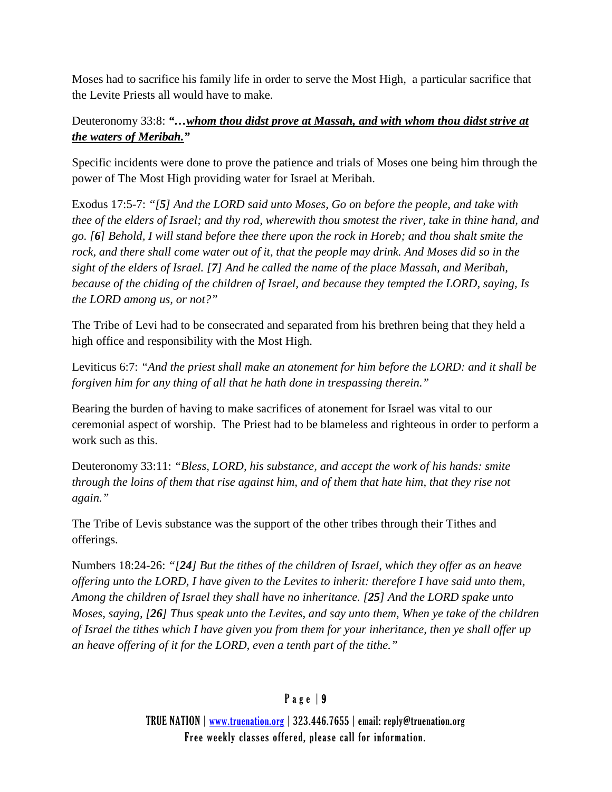Moses had to sacrifice his family life in order to serve the Most High, a particular sacrifice that the Levite Priests all would have to make.

Deuteronomy 33:8: *"…whom thou didst prove at Massah, and with whom thou didst strive at the waters of Meribah."*

Specific incidents were done to prove the patience and trials of Moses one being him through the power of The Most High providing water for Israel at Meribah.

Exodus 17:5-7: *"[5] And the LORD said unto Moses, Go on before the people, and take with thee of the elders of Israel; and thy rod, wherewith thou smotest the river, take in thine hand, and go. [6] Behold, I will stand before thee there upon the rock in Horeb; and thou shalt smite the rock, and there shall come water out of it, that the people may drink. And Moses did so in the sight of the elders of Israel. [7] And he called the name of the place Massah, and Meribah, because of the chiding of the children of Israel, and because they tempted the LORD, saying, Is the LORD among us, or not?"*

The Tribe of Levi had to be consecrated and separated from his brethren being that they held a high office and responsibility with the Most High.

Leviticus 6:7: *"And the priest shall make an atonement for him before the LORD: and it shall be forgiven him for any thing of all that he hath done in trespassing therein."*

Bearing the burden of having to make sacrifices of atonement for Israel was vital to our ceremonial aspect of worship. The Priest had to be blameless and righteous in order to perform a work such as this.

Deuteronomy 33:11: *"Bless, LORD, his substance, and accept the work of his hands: smite through the loins of them that rise against him, and of them that hate him, that they rise not again."*

The Tribe of Levis substance was the support of the other tribes through their Tithes and offerings.

Numbers 18:24-26: *"[24] But the tithes of the children of Israel, which they offer as an heave offering unto the LORD, I have given to the Levites to inherit: therefore I have said unto them, Among the children of Israel they shall have no inheritance. [25] And the LORD spake unto Moses, saying, [26] Thus speak unto the Levites, and say unto them, When ye take of the children of Israel the tithes which I have given you from them for your inheritance, then ye shall offer up an heave offering of it for the LORD, even a tenth part of the tithe."*

## Page | 9